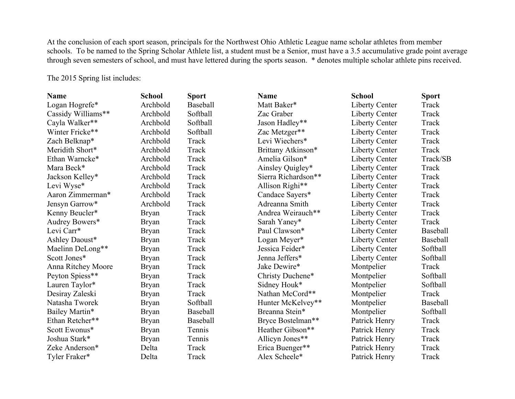At the conclusion of each sport season, principals for the Northwest Ohio Athletic League name scholar athletes from member schools. To be named to the Spring Scholar Athlete list, a student must be a Senior, must have a 3.5 accumulative grade point average through seven semesters of school, and must have lettered during the sports season. \* denotes multiple scholar athlete pins received.

The 2015 Spring list includes:

| <b>Name</b>        | <b>School</b> | <b>Sport</b> | <b>Name</b>         | <b>School</b>         | <b>Sport</b> |
|--------------------|---------------|--------------|---------------------|-----------------------|--------------|
| Logan Hogrefe*     | Archbold      | Baseball     | Matt Baker*         | <b>Liberty Center</b> | Track        |
| Cassidy Williams** | Archbold      | Softball     | Zac Graber          | <b>Liberty Center</b> | Track        |
| Cayla Walker**     | Archbold      | Softball     | Jason Hadley**      | <b>Liberty Center</b> | Track        |
| Winter Fricke**    | Archbold      | Softball     | Zac Metzger**       | Liberty Center        | Track        |
| Zach Belknap*      | Archbold      | Track        | Levi Wiechers*      | <b>Liberty Center</b> | Track        |
| Meridith Short*    | Archbold      | Track        | Brittany Atkinson*  | <b>Liberty Center</b> | Track        |
| Ethan Warncke*     | Archbold      | Track        | Amelia Gilson*      | <b>Liberty Center</b> | Track/SB     |
| Mara Beck*         | Archbold      | Track        | Ainsley Quigley*    | <b>Liberty Center</b> | Track        |
| Jackson Kelley*    | Archbold      | Track        | Sierra Richardson** | <b>Liberty Center</b> | Track        |
| Levi Wyse*         | Archbold      | Track        | Allison Righi**     | <b>Liberty Center</b> | Track        |
| Aaron Zimmerman*   | Archbold      | Track        | Candace Sayers*     | Liberty Center        | Track        |
| Jensyn Garrow*     | Archbold      | Track        | Adreanna Smith      | <b>Liberty Center</b> | Track        |
| Kenny Beucler*     | <b>Bryan</b>  | Track        | Andrea Weirauch**   | <b>Liberty Center</b> | Track        |
| Audrey Bowers*     | <b>Bryan</b>  | Track        | Sarah Yaney*        | <b>Liberty Center</b> | Track        |
| Levi Carr*         | <b>Bryan</b>  | Track        | Paul Clawson*       | <b>Liberty Center</b> | Baseball     |
| Ashley Daoust*     | <b>Bryan</b>  | Track        | Logan Meyer*        | <b>Liberty Center</b> | Baseball     |
| Maelinn DeLong**   | <b>Bryan</b>  | Track        | Jessica Feider*     | <b>Liberty Center</b> | Softball     |
| Scott Jones*       | <b>Bryan</b>  | Track        | Jenna Jeffers*      | <b>Liberty Center</b> | Softball     |
| Anna Ritchey Moore | <b>Bryan</b>  | Track        | Jake Dewire*        | Montpelier            | Track        |
| Peyton Spiess**    | <b>Bryan</b>  | Track        | Christy Duchene*    | Montpelier            | Softball     |
| Lauren Taylor*     | <b>Bryan</b>  | Track        | Sidney Houk*        | Montpelier            | Softball     |
| Desiray Zaleski    | <b>Bryan</b>  | Track        | Nathan McCord**     | Montpelier            | Track        |
| Natasha Tworek     | <b>Bryan</b>  | Softball     | Hunter McKelvey**   | Montpelier            | Baseball     |
| Bailey Martin*     | <b>Bryan</b>  | Baseball     | Breanna Stein*      | Montpelier            | Softball     |
| Ethan Retcher**    | <b>Bryan</b>  | Baseball     | Bryce Bostelman**   | Patrick Henry         | Track        |
| Scott Ewonus*      | <b>Bryan</b>  | Tennis       | Heather Gibson**    | Patrick Henry         | Track        |
| Joshua Stark*      | <b>Bryan</b>  | Tennis       | Allicyn Jones**     | Patrick Henry         | Track        |
| Zeke Anderson*     | Delta         | Track        | Erica Buenger**     | Patrick Henry         | Track        |
| Tyler Fraker*      | Delta         | Track        | Alex Scheele*       | Patrick Henry         | Track        |